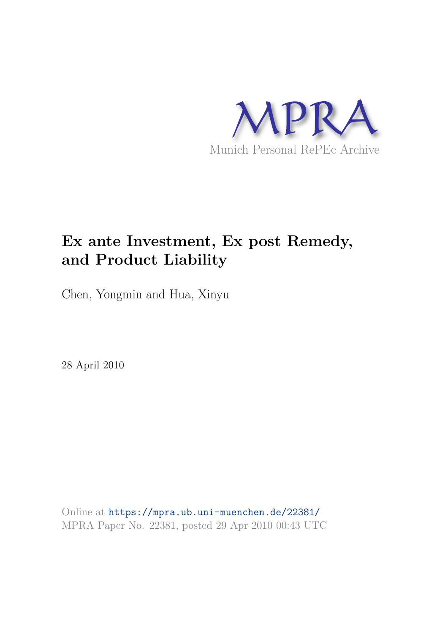

# **Ex ante Investment, Ex post Remedy, and Product Liability**

Chen, Yongmin and Hua, Xinyu

28 April 2010

Online at https://mpra.ub.uni-muenchen.de/22381/ MPRA Paper No. 22381, posted 29 Apr 2010 00:43 UTC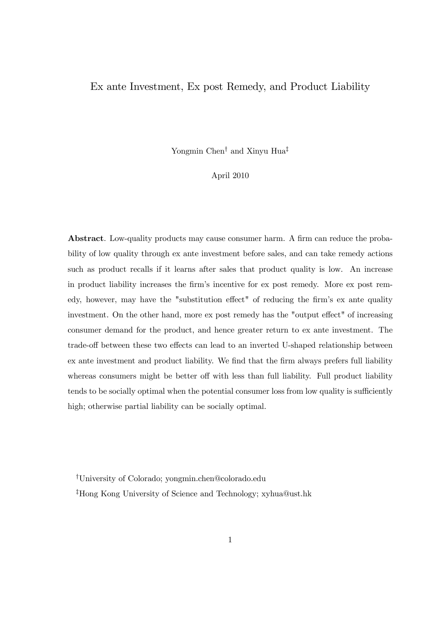# Ex ante Investment, Ex post Remedy, and Product Liability

Yongmin Chen<sup>†</sup> and Xinyu Hua<sup>‡</sup>

April 2010

**Abstract**. Low-quality products may cause consumer harm. A firm can reduce the probability of low quality through ex ante investment before sales, and can take remedy actions such as product recalls if it learns after sales that product quality is low. An increase in product liability increases the firm's incentive for ex post remedy. More ex post remedy, however, may have the "substitution effect" of reducing the firm's ex ante quality investment. On the other hand, more ex post remedy has the "output effect" of increasing consumer demand for the product, and hence greater return to ex ante investment. The trade-off between these two effects can lead to an inverted U-shaped relationship between ex ante investment and product liability. We find that the firm always prefers full liability whereas consumers might be better off with less than full liability. Full product liability tends to be socially optimal when the potential consumer loss from low quality is sufficiently high; otherwise partial liability can be socially optimal.

<sup>†</sup>University of Colorado; yongmin.chen@colorado.edu <sup>‡</sup>Hong Kong University of Science and Technology; xyhua@ust.hk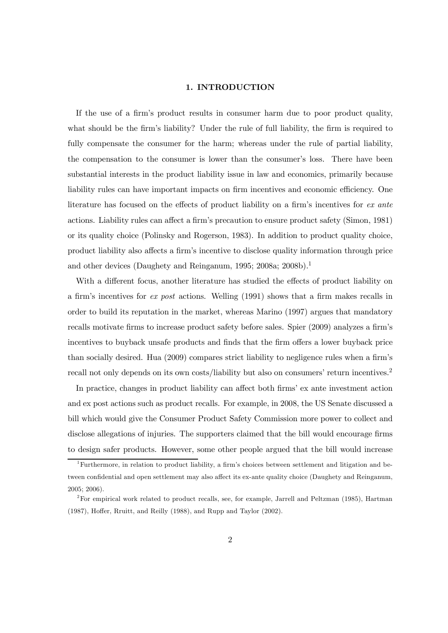## 1. INTRODUCTION

If the use of a firm's product results in consumer harm due to poor product quality, what should be the firm's liability? Under the rule of full liability, the firm is required to fully compensate the consumer for the harm; whereas under the rule of partial liability, the compensation to the consumer is lower than the consumer's loss. There have been substantial interests in the product liability issue in law and economics, primarily because liability rules can have important impacts on firm incentives and economic efficiency. One literature has focused on the effects of product liability on a firm's incentives for ex ante actions. Liability rules can affect a firm's precaution to ensure product safety (Simon, 1981) or its quality choice (Polinsky and Rogerson, 1983). In addition to product quality choice, product liability also affects a firm's incentive to disclose quality information through price and other devices (Daughety and Reinganum, 1995; 2008a; 2008b).

With a different focus, another literature has studied the effects of product liability on a firm's incentives for *ex post* actions. Welling  $(1991)$  shows that a firm makes recalls in order to build its reputation in the market, whereas Marino (1997) argues that mandatory recalls motivate firms to increase product safety before sales. Spier (2009) analyzes a firm's incentives to buyback unsafe products and finds that the firm offers a lower buyback price than socially desired. Hua (2009) compares strict liability to negligence rules when a firm's recall not only depends on its own costs/liability but also on consumers' return incentives.<sup>2</sup>

In practice, changes in product liability can affect both firms' ex ante investment action and ex post actions such as product recalls. For example, in 2008, the US Senate discussed a bill which would give the Consumer Product Safety Commission more power to collect and disclose allegations of injuries. The supporters claimed that the bill would encourage firms to design safer products. However, some other people argued that the bill would increase

<sup>&</sup>lt;sup>1</sup>Furthermore, in relation to product liability, a firm's choices between settlement and litigation and between confidential and open settlement may also affect its ex-ante quality choice (Daughety and Reinganum,  $2005; 2006$ ).

 ${}^{2}$  For empirical work related to product recalls, see, for example, Jarrell and Peltzman (1985), Hartman  $(1987)$ , Hoffer, Rruitt, and Reilly  $(1988)$ , and Rupp and Taylor  $(2002)$ .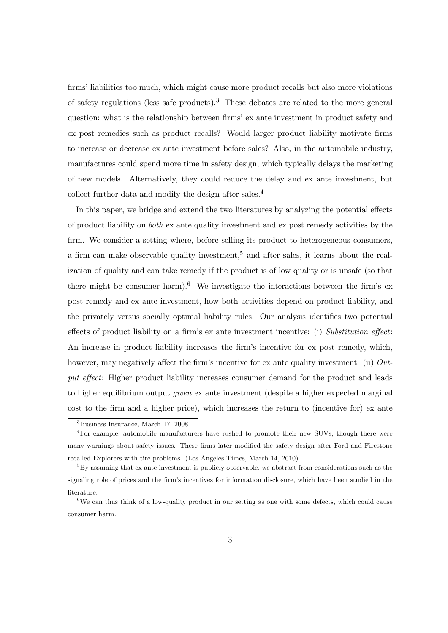firms' liabilities too much, which might cause more product recalls but also more violations of safety regulations (less safe products).<sup>3</sup> These debates are related to the more general question: what is the relationship between firms' ex ante investment in product safety and ex post remedies such as product recalls? Would larger product liability motivate firms to increase or decrease ex ante investment before sales? Also, in the automobile industry, manufactures could spend more time in safety design, which typically delays the marketing of new models. Alternatively, they could reduce the delay and ex ante investment, but collect further data and modify the design after sales. $4$ 

In this paper, we bridge and extend the two literatures by analyzing the potential effects of product liability on *both* ex ante quality investment and ex post remedy activities by the firm. We consider a setting where, before selling its product to heterogeneous consumers, a firm can make observable quality investment.<sup>5</sup> and after sales, it learns about the realization of quality and can take remedy if the product is of low quality or is unsafe (so that there might be consumer harm).<sup>6</sup> We investigate the interactions between the firm's ex post remedy and ex ante investment, how both activities depend on product liability, and the privately versus socially optimal liability rules. Our analysis identifies two potential effects of product liability on a firm's ex ante investment incentive: (i) Substitution effect: An increase in product liability increases the firm's incentive for ex post remedy, which, however, may negatively affect the firm's incentive for ex ante quality investment. (ii)  $Out$ put effect: Higher product liability increases consumer demand for the product and leads to higher equilibrium output *given* ex ante investment (despite a higher expected marginal cost to the firm and a higher price), which increases the return to (incentive for) ex ante

 ${}^{3}$ Business Insurance, March 17, 2008

<sup>&</sup>lt;sup>4</sup>For example, automobile manufacturers have rushed to promote their new SUVs, though there were many warnings about safety issues. These firms later modified the safety design after Ford and Firestone recalled Explorers with tire problems. (Los Angeles Times, March 14, 2010)

 ${}^{5}$ By assuming that ex ante investment is publicly observable, we abstract from considerations such as the signaling role of prices and the firm's incentives for information disclosure, which have been studied in the literature.

 ${}^{6}$ We can thus think of a low-quality product in our setting as one with some defects, which could cause consumer harm.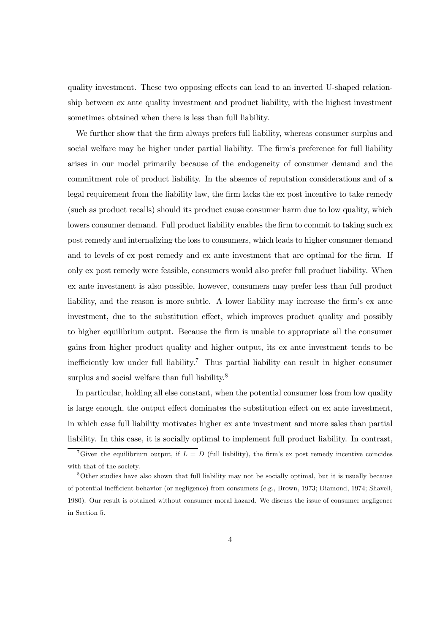quality investment. These two opposing effects can lead to an inverted U-shaped relationship between ex ante quality investment and product liability, with the highest investment sometimes obtained when there is less than full liability.

We further show that the firm always prefers full liability, whereas consumer surplus and social welfare may be higher under partial liability. The firm's preference for full liability arises in our model primarily because of the endogeneity of consumer demand and the commitment role of product liability. In the absence of reputation considerations and of a legal requirement from the liability law, the firm lacks the ex post incentive to take remedy (such as product recalls) should its product cause consumer harm due to low quality, which lowers consumer demand. Full product liability enables the firm to commit to taking such ex post remedy and internalizing the loss to consumers, which leads to higher consumer demand and to levels of ex post remedy and ex ante investment that are optimal for the firm. If only ex post remedy were feasible, consumers would also prefer full product liability. When ex ante investment is also possible, however, consumers may prefer less than full product liability, and the reason is more subtle. A lower liability may increase the firm's ex ante investment, due to the substitution effect, which improves product quality and possibly to higher equilibrium output. Because the firm is unable to appropriate all the consumer gains from higher product quality and higher output, its ex ante investment tends to be inefficiently low under full liability.<sup>7</sup> Thus partial liability can result in higher consumer surplus and social welfare than full liability. $8$ 

In particular, holding all else constant, when the potential consumer loss from low quality is large enough, the output effect dominates the substitution effect on ex ante investment, in which case full liability motivates higher ex ante investment and more sales than partial liability. In this case, it is socially optimal to implement full product liability. In contrast,

<sup>&</sup>lt;sup>7</sup>Given the equilibrium output, if  $L = D$  (full liability), the firm's ex post remedy incentive coincides with that of the society.

<sup>&</sup>lt;sup>8</sup>Other studies have also shown that full liability may not be socially optimal, but it is usually because of potential inefficient behavior (or negligence) from consumers (e.g., Brown, 1973; Diamond, 1974; Shavell, 1980). Our result is obtained without consumer moral hazard. We discuss the issue of consumer negligence in Section 5.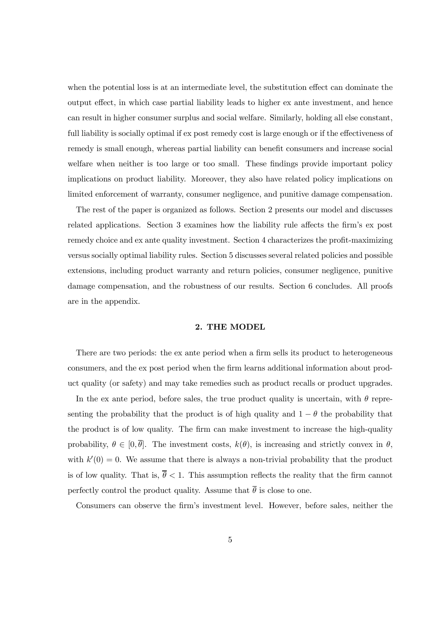when the potential loss is at an intermediate level, the substitution effect can dominate the output effect, in which case partial liability leads to higher ex ante investment, and hence can result in higher consumer surplus and social welfare. Similarly, holding all else constant, full liability is socially optimal if ex post remedy cost is large enough or if the effectiveness of remedy is small enough, whereas partial liability can benefit consumers and increase social welfare when neither is too large or too small. These findings provide important policy implications on product liability. Moreover, they also have related policy implications on limited enforcement of warranty, consumer negligence, and punitive damage compensation.

The rest of the paper is organized as follows. Section 2 presents our model and discusses related applications. Section 3 examines how the liability rule affects the firm's ex post remedy choice and ex ante quality investment. Section 4 characterizes the profit-maximizing versus socially optimal liability rules. Section 5 discusses several related policies and possible extensions, including product warranty and return policies, consumer negligence, punitive damage compensation, and the robustness of our results. Section 6 concludes. All proofs are in the appendix.

#### 2. THE MODEL

There are two periods: the ex ante period when a firm sells its product to heterogeneous consumers, and the ex post period when the firm learns additional information about product quality (or safety) and may take remedies such as product recalls or product upgrades.

In the ex ante period, before sales, the true product quality is uncertain, with  $\theta$  representing the probability that the product is of high quality and  $1-\theta$  the probability that the product is of low quality. The firm can make investment to increase the high-quality probability,  $\theta \in [0, \overline{\theta}]$ . The investment costs,  $k(\theta)$ , is increasing and strictly convex in  $\theta$ , with  $k'(0) = 0$ . We assume that there is always a non-trivial probability that the product is of low quality. That is,  $\bar{\theta} < 1$ . This assumption reflects the reality that the firm cannot perfectly control the product quality. Assume that  $\overline{\theta}$  is close to one.

Consumers can observe the firm's investment level. However, before sales, neither the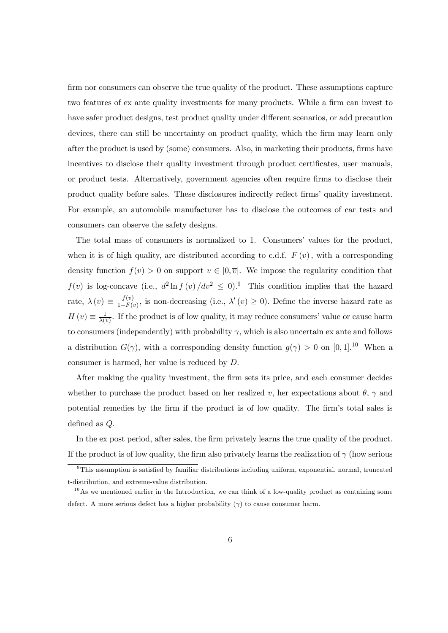firm nor consumers can observe the true quality of the product. These assumptions capture two features of ex ante quality investments for many products. While a firm can invest to have safer product designs, test product quality under different scenarios, or add precaution devices, there can still be uncertainty on product quality, which the firm may learn only after the product is used by (some) consumers. Also, in marketing their products, firms have incentives to disclose their quality investment through product certificates, user manuals, or product tests. Alternatively, government agencies often require firms to disclose their product quality before sales. These disclosures indirectly reflect firms' quality investment. For example, an automobile manufacturer has to disclose the outcomes of car tests and consumers can observe the safety designs.

The total mass of consumers is normalized to 1. Consumers' values for the product, when it is of high quality, are distributed according to c.d.f.  $F(v)$ , with a corresponding density function  $f(v) > 0$  on support  $v \in [0, \overline{v}]$ . We impose the regularity condition that  $f(v)$  is log-concave (i.e.,  $d^2 \ln f(v)/dv^2 \leq 0$ ).<sup>9</sup> This condition implies that the hazard rate,  $\lambda(v) \equiv \frac{f(v)}{1-F(v)}$ , is non-decreasing (i.e.,  $\lambda'(v) \ge 0$ ). Define the inverse hazard rate as  $H(v) \equiv \frac{1}{\lambda(v)}$ . If the product is of low quality, it may reduce consumers' value or cause harm to consumers (independently) with probability  $\gamma$ , which is also uncertain ex ante and follows a distribution  $G(\gamma)$ , with a corresponding density function  $g(\gamma) > 0$  on [0,1].<sup>10</sup> When a consumer is harmed, her value is reduced by  $D$ .

After making the quality investment, the firm sets its price, and each consumer decides whether to purchase the product based on her realized v, her expectations about  $\theta$ ,  $\gamma$  and potential remedies by the firm if the product is of low quality. The firm's total sales is defined as  $Q$ .

In the ex post period, after sales, the firm privately learns the true quality of the product. If the product is of low quality, the firm also privately learns the realization of  $\gamma$  (how serious

 $\rm{^{9}This}$  assumption is satisfied by familiar distributions including uniform, exponential, normal, truncated t-distribution, and extreme-value distribution.

 $10\text{ As}$  we mentioned earlier in the Introduction, we can think of a low-quality product as containing some defect. A more serious defect has a higher probability  $(\gamma)$  to cause consumer harm.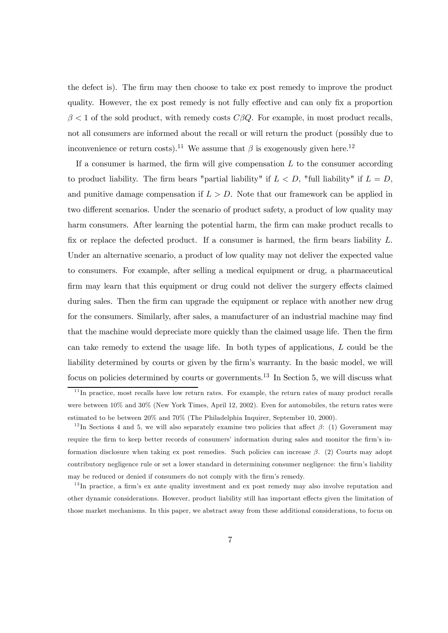the defect is). The firm may then choose to take ex post remedy to improve the product quality. However, the ex post remedy is not fully effective and can only fix a proportion  $\beta$  < 1 of the sold product, with remedy costs C $\beta Q$ . For example, in most product recalls, not all consumers are informed about the recall or will return the product (possibly due to inconvenience or return costs).<sup>11</sup> We assume that  $\beta$  is exogenously given here.<sup>12</sup>

If a consumer is harmed, the firm will give compensation  $L$  to the consumer according to product liability. The firm bears "partial liability" if  $L < D$ , "full liability" if  $L = D$ , and punitive damage compensation if  $L > D$ . Note that our framework can be applied in two different scenarios. Under the scenario of product safety, a product of low quality may harm consumers. After learning the potential harm, the firm can make product recalls to fix or replace the defected product. If a consumer is harmed, the firm bears liability  $L$ . Under an alternative scenario, a product of low quality may not deliver the expected value to consumers. For example, after selling a medical equipment or drug, a pharmaceutical firm may learn that this equipment or drug could not deliver the surgery effects claimed during sales. Then the firm can upgrade the equipment or replace with another new drug for the consumers. Similarly, after sales, a manufacturer of an industrial machine may find that the machine would depreciate more quickly than the claimed usage life. Then the firm can take remedy to extend the usage life. In both types of applications,  $L$  could be the liability determined by courts or given by the firm's warranty. In the basic model, we will focus on policies determined by courts or governments.<sup>13</sup> In Section 5, we will discuss what

 $11$ In practice, most recalls have low return rates. For example, the return rates of many product recalls were between  $10\%$  and  $30\%$  (New York Times, April 12, 2002). Even for automobiles, the return rates were estimated to be between  $20\%$  and  $70\%$  (The Philadelphia Inquirer, September 10, 2000).

<sup>&</sup>lt;sup>12</sup>In Sections 4 and 5, we will also separately examine two policies that affect  $\beta$ : (1) Government may require the firm to keep better records of consumers' information during sales and monitor the firm's information disclosure when taking ex post remedies. Such policies can increase  $\beta$ . (2) Courts may adopt contributory negligence rule or set a lower standard in determining consumer negligence: the firm's liability may be reduced or denied if consumers do not comply with the firm's remedy.

<sup>&</sup>lt;sup>13</sup>In practice, a firm's ex ante quality investment and ex post remedy may also involve reputation and other dynamic considerations. However, product liability still has important effects given the limitation of those market mechanisms. In this paper, we abstract away from these additional considerations, to focus on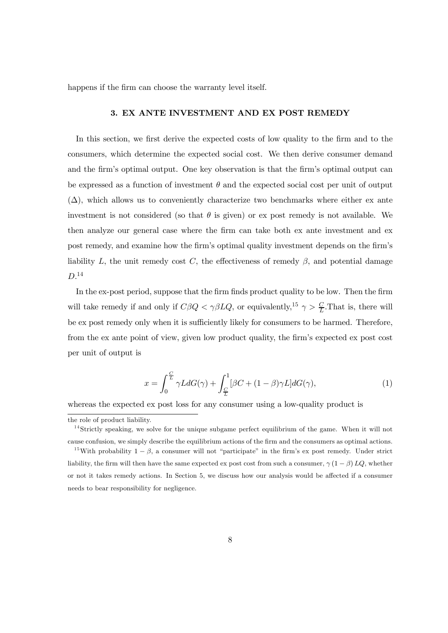happens if the firm can choose the warranty level itself.

## 3. EX ANTE INVESTMENT AND EX POST REMEDY

In this section, we first derive the expected costs of low quality to the firm and to the consumers, which determine the expected social cost. We then derive consumer demand and the firm's optimal output. One key observation is that the firm's optimal output can be expressed as a function of investment  $\theta$  and the expected social cost per unit of output  $(\Delta)$ , which allows us to conveniently characterize two benchmarks where either ex ante investment is not considered (so that  $\theta$  is given) or ex post remedy is not available. We then analyze our general case where the firm can take both ex ante investment and ex post remedy, and examine how the firm's optimal quality investment depends on the firm's liability L, the unit remedy cost C, the effectiveness of remedy  $\beta$ , and potential damage  $D^{14}$ 

In the ex-post period, suppose that the firm finds product quality to be low. Then the firm will take remedy if and only if  $C\beta Q < \gamma \beta LQ$ , or equivalently,  $^{15} \gamma > \frac{C}{L}$ . That is, there will be ex post remedy only when it is sufficiently likely for consumers to be harmed. Therefore, from the ex ante point of view, given low product quality, the firm's expected ex post cost per unit of output is

$$
x = \int_0^{\frac{C}{L}} \gamma L dG(\gamma) + \int_{\frac{C}{L}}^1 [\beta C + (1 - \beta)\gamma L] dG(\gamma),\tag{1}
$$

whereas the expected ex post loss for any consumer using a low-quality product is

the role of product liability.

 $14$ Strictly speaking, we solve for the unique subgame perfect equilibrium of the game. When it will not cause confusion, we simply describe the equilibrium actions of the firm and the consumers as optimal actions.

<sup>&</sup>lt;sup>15</sup>With probability  $1 - \beta$ , a consumer will not "participate" in the firm's ex post remedy. Under strict liability, the firm will then have the same expected ex post cost from such a consumer,  $\gamma (1 - \beta) LQ$ , whether or not it takes remedy actions. In Section 5, we discuss how our analysis would be affected if a consumer needs to bear responsibility for negligence.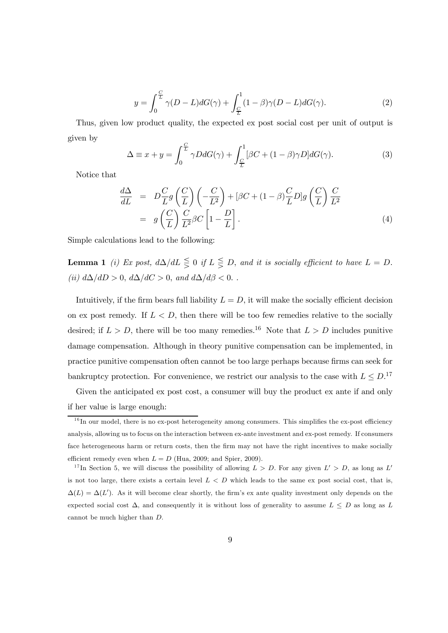$$
y = \int_0^{\frac{C}{L}} \gamma(D - L)dG(\gamma) + \int_{\frac{C}{L}}^1 (1 - \beta)\gamma(D - L)dG(\gamma).
$$
 (2)

Thus, given low product quality, the expected ex post social cost per unit of output is given by

$$
\Delta \equiv x + y = \int_0^{\frac{C}{L}} \gamma D dG(\gamma) + \int_{\frac{C}{L}}^1 [\beta C + (1 - \beta)\gamma D] dG(\gamma).
$$
 (3)

Notice that

$$
\frac{d\Delta}{dL} = D\frac{C}{L}g\left(\frac{C}{L}\right)\left(-\frac{C}{L^2}\right) + [\beta C + (1-\beta)\frac{C}{L}D]g\left(\frac{C}{L}\right)\frac{C}{L^2}
$$
\n
$$
= g\left(\frac{C}{L}\right)\frac{C}{L^2}\beta C\left[1-\frac{D}{L}\right].\tag{4}
$$

Simple calculations lead to the following:

**Lemma 1** (i) Ex post,  $d\Delta/dL \leq 0$  if  $L \leq D$ , and it is socially efficient to have  $L = D$ . (ii)  $d\Delta/dD > 0$ ,  $d\Delta/dC > 0$ , and  $d\Delta/d\beta < 0$ .

Intuitively, if the firm bears full liability  $L = D$ , it will make the socially efficient decision on ex post remedy. If  $L < D$ , then there will be too few remedies relative to the socially desired; if  $L > D$ , there will be too many remedies.<sup>16</sup> Note that  $L > D$  includes punitive damage compensation. Although in theory punitive compensation can be implemented, in practice punitive compensation often cannot be too large perhaps because firms can seek for bankruptcy protection. For convenience, we restrict our analysis to the case with  $L \leq D$ .<sup>17</sup>

Given the anticipated ex post cost, a consumer will buy the product ex ante if and only if her value is large enough:

 $^{16}$ In our model, there is no ex-post heterogeneity among consumers. This simplifies the ex-post efficiency analysis, allowing us to focus on the interaction between ex-ante investment and ex-post remedy. If consumers face heterogeneous harm or return costs, then the firm may not have the right incentives to make socially efficient remedy even when  $L = D$  (Hua, 2009; and Spier, 2009).

<sup>&</sup>lt;sup>17</sup>In Section 5, we will discuss the possibility of allowing  $L > D$ . For any given  $L' > D$ , as long as L' is not too large, there exists a certain level  $L < D$  which leads to the same ex post social cost, that is,  $\Delta(L) = \Delta(L')$ . As it will become clear shortly, the firm's ex ante quality investment only depends on the expected social cost  $\Delta$ , and consequently it is without loss of generality to assume  $L \leq D$  as long as L cannot be much higher than  $D$ .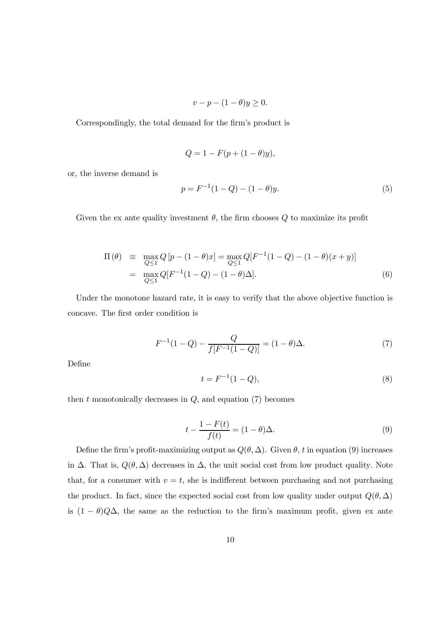$$
v - p - (1 - \theta)y \ge 0.
$$

Correspondingly, the total demand for the firm's product is

$$
Q = 1 - F(p + (1 - \theta)y),
$$

or, the inverse demand is

$$
p = F^{-1}(1 - Q) - (1 - \theta)y.
$$
\n(5)

Given the ex ante quality investment  $\theta$ , the firm chooses Q to maximize its profit

$$
\Pi(\theta) \equiv \max_{Q \le 1} Q \left[ p - (1 - \theta)x \right] = \max_{Q \le 1} Q \left[ F^{-1} (1 - Q) - (1 - \theta)(x + y) \right]
$$
  
= 
$$
\max_{Q \le 1} Q \left[ F^{-1} (1 - Q) - (1 - \theta) \Delta \right].
$$
 (6)

Under the monotone hazard rate, it is easy to verify that the above objective function is concave. The first order condition is

$$
F^{-1}(1 - Q) - \frac{Q}{f[F^{-1}(1 - Q)]} = (1 - \theta)\Delta.
$$
 (7)

Define

$$
t = F^{-1}(1 - Q),
$$
\n(8)

then  $t$  monotonically decreases in  $Q$ , and equation (7) becomes

$$
t - \frac{1 - F(t)}{f(t)} = (1 - \theta)\Delta.
$$
\n(9)

Define the firm's profit-maximizing output as  $Q(\theta, \Delta)$ . Given  $\theta$ , t in equation (9) increases in  $\Delta$ . That is,  $Q(\theta, \Delta)$  decreases in  $\Delta$ , the unit social cost from low product quality. Note that, for a consumer with  $v = t$ , she is indifferent between purchasing and not purchasing the product. In fact, since the expected social cost from low quality under output  $Q(\theta, \Delta)$ is  $(1 - \theta)Q\Delta$ , the same as the reduction to the firm's maximum profit, given ex ante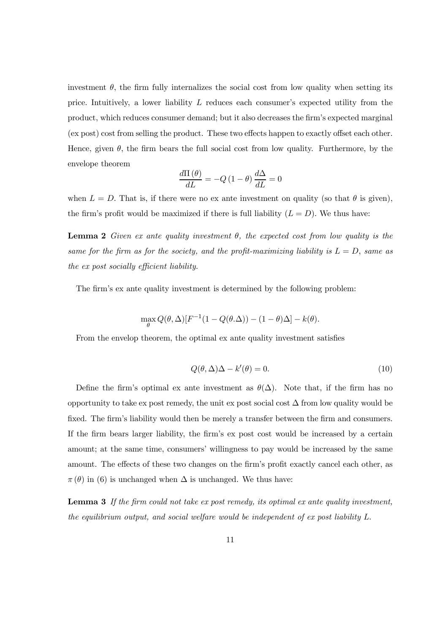investment  $\theta$ , the firm fully internalizes the social cost from low quality when setting its price. Intuitively, a lower liability  $L$  reduces each consumer's expected utility from the product, which reduces consumer demand; but it also decreases the firm's expected marginal (ex post) cost from selling the product. These two effects happen to exactly offset each other. Hence, given  $\theta$ , the firm bears the full social cost from low quality. Furthermore, by the envelope theorem

$$
\frac{d\Pi(\theta)}{dL} = -Q(1-\theta)\frac{d\Delta}{dL} = 0
$$

when  $L = D$ . That is, if there were no ex ante investment on quality (so that  $\theta$  is given), the firm's profit would be maximized if there is full liability  $(L = D)$ . We thus have:

**Lemma 2** Given ex ante quality investment  $\theta$ , the expected cost from low quality is the same for the firm as for the society, and the profit-maximizing liability is  $L = D$ , same as the ex post socially efficient liability.

The firm's ex ante quality investment is determined by the following problem:

$$
\max_{\theta} Q(\theta, \Delta) [F^{-1}(1 - Q(\theta, \Delta)) - (1 - \theta)\Delta] - k(\theta).
$$

From the envelop theorem, the optimal ex ante quality investment satisfies

$$
Q(\theta, \Delta)\Delta - k'(\theta) = 0.
$$
\n(10)

Define the firm's optimal ex ante investment as  $\theta(\Delta)$ . Note that, if the firm has no opportunity to take ex post remedy, the unit ex post social cost  $\Delta$  from low quality would be fixed. The firm's liability would then be merely a transfer between the firm and consumers. If the firm bears larger liability, the firm's ex post cost would be increased by a certain amount; at the same time, consumers' willingness to pay would be increased by the same amount. The effects of these two changes on the firm's profit exactly cancel each other, as  $\pi(\theta)$  in (6) is unchanged when  $\Delta$  is unchanged. We thus have:

**Lemma 3** If the firm could not take ex post remedy, its optimal ex ante quality investment, the equilibrium output, and social welfare would be independent of  $ex$  post liability  $L$ .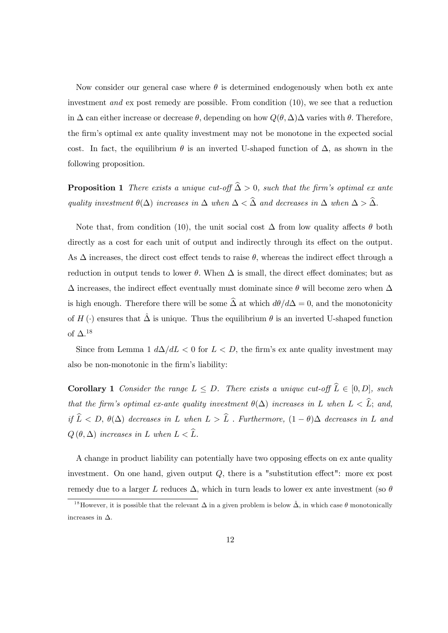Now consider our general case where  $\theta$  is determined endogenously when both ex ante investment and  $ext{ex}$  post remedy are possible. From condition (10), we see that a reduction in  $\Delta$  can either increase or decrease  $\theta$ , depending on how  $Q(\theta, \Delta)\Delta$  varies with  $\theta$ . Therefore, the firm's optimal ex ante quality investment may not be monotone in the expected social cost. In fact, the equilibrium  $\theta$  is an inverted U-shaped function of  $\Delta$ , as shown in the following proposition.

**Proposition 1** There exists a unique cut-off  $\widehat{\Delta} > 0$ , such that the firm's optimal ex ante quality investment  $\theta(\Delta)$  increases in  $\Delta$  when  $\Delta < \hat{\Delta}$  and decreases in  $\Delta$  when  $\Delta > \hat{\Delta}$ .

Note that, from condition (10), the unit social cost  $\Delta$  from low quality affects  $\theta$  both directly as a cost for each unit of output and indirectly through its effect on the output. As  $\Delta$  increases, the direct cost effect tends to raise  $\theta$ , whereas the indirect effect through a reduction in output tends to lower  $\theta$ . When  $\Delta$  is small, the direct effect dominates; but as  $\Delta$  increases, the indirect effect eventually must dominate since  $\theta$  will become zero when  $\Delta$ is high enough. Therefore there will be some  $\hat{\Delta}$  at which  $d\theta/d\Delta = 0$ , and the monotonicity of  $H(\cdot)$  ensures that  $\hat{\Delta}$  is unique. Thus the equilibrium  $\theta$  is an inverted U-shaped function of  $\Delta$ <sup>18</sup>

Since from Lemma 1  $d\Delta/dL < 0$  for  $L < D$ , the firm's ex ante quality investment may also be non-monotonic in the firm's liability:

**Corollary 1** Consider the range  $L \leq D$ . There exists a unique cut-off  $\hat{L} \in [0, D]$ , such that the firm's optimal ex-ante quality investment  $\theta(\Delta)$  increases in L when  $L < \widehat{L}$ ; and, if  $\hat{L} < D$ ,  $\theta(\Delta)$  decreases in L when  $L > \hat{L}$ . Furthermore,  $(1 - \theta)\Delta$  decreases in L and  $Q(\theta, \Delta)$  increases in L when  $L < \widehat{L}$ .

A change in product liability can potentially have two opposing effects on ex ante quality investment. On one hand, given output  $Q$ , there is a "substitution effect": more ex post remedy due to a larger L reduces  $\Delta$ , which in turn leads to lower ex ante investment (so  $\theta$ 

<sup>&</sup>lt;sup>18</sup> However, it is possible that the relevant  $\Delta$  in a given problem is below  $\hat{\Delta}$ , in which case  $\theta$  monotonically increases in  $\Delta$ .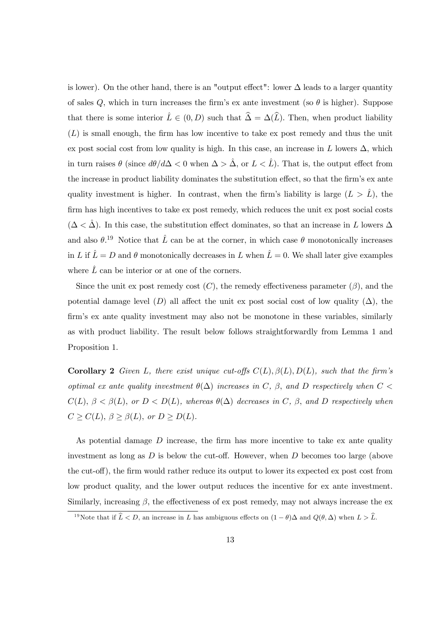is lower). On the other hand, there is an "output effect": lower  $\Delta$  leads to a larger quantity of sales Q, which in turn increases the firm's ex ante investment (so  $\theta$  is higher). Suppose that there is some interior  $\hat{L} \in (0, D)$  such that  $\hat{\Delta} = \Delta(\hat{L})$ . Then, when product liability  $(L)$  is small enough, the firm has low incentive to take ex post remedy and thus the unit ex post social cost from low quality is high. In this case, an increase in L lowers  $\Delta$ , which in turn raises  $\theta$  (since  $d\theta/d\Delta < 0$  when  $\Delta > \hat{\Delta}$ , or  $L < \hat{L}$ ). That is, the output effect from the increase in product liability dominates the substitution effect, so that the firm's ex ante quality investment is higher. In contrast, when the firm's liability is large  $(L > L)$ , the firm has high incentives to take ex post remedy, which reduces the unit ex post social costs  $(\Delta < \Delta)$ . In this case, the substitution effect dominates, so that an increase in L lowers  $\Delta$ and also  $\theta$ <sup>19</sup>. Notice that  $\hat{L}$  can be at the corner, in which case  $\theta$  monotonically increases in L if  $\hat{L} = D$  and  $\theta$  monotonically decreases in L when  $\hat{L} = 0$ . We shall later give examples where  $\hat{L}$  can be interior or at one of the corners.

Since the unit ex post remedy cost  $(C)$ , the remedy effectiveness parameter  $(\beta)$ , and the potential damage level (D) all affect the unit ex post social cost of low quality ( $\Delta$ ), the firm's ex ante quality investment may also not be monotone in these variables, similarly as with product liability. The result below follows straightforwardly from Lemma 1 and Proposition 1.

**Corollary 2** Given L, there exist unique cut-offs  $C(L)$ ,  $\beta(L)$ ,  $D(L)$ , such that the firm's optimal ex ante quality investment  $\theta(\Delta)$  increases in C,  $\beta$ , and D respectively when C <  $C(L)$ ,  $\beta < \beta(L)$ , or  $D < D(L)$ , whereas  $\theta(\Delta)$  decreases in C,  $\beta$ , and D respectively when  $C \geq C(L)$ ,  $\beta \geq \beta(L)$ , or  $D \geq D(L)$ .

As potential damage  $D$  increase, the firm has more incentive to take ex ante quality investment as long as  $D$  is below the cut-off. However, when  $D$  becomes too large (above the cut-off), the firm would rather reduce its output to lower its expected ex post cost from low product quality, and the lower output reduces the incentive for ex ante investment. Similarly, increasing  $\beta$ , the effectiveness of ex post remedy, may not always increase the ex-

<sup>&</sup>lt;sup>19</sup>Note that if  $\widehat{L} < D$ , an increase in L has ambiguous effects on  $(1 - \theta)\Delta$  and  $Q(\theta, \Delta)$  when  $L > \widehat{L}$ .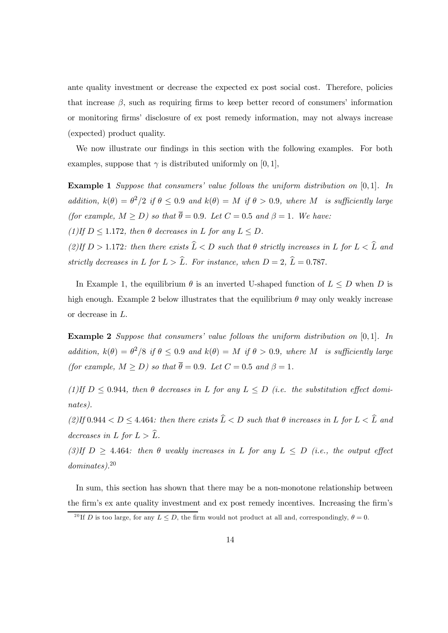ante quality investment or decrease the expected ex post social cost. Therefore, policies that increase  $\beta$ , such as requiring firms to keep better record of consumers' information or monitoring firms' disclosure of ex post remedy information, may not always increase (expected) product quality.

We now illustrate our findings in this section with the following examples. For both examples, suppose that  $\gamma$  is distributed uniformly on [0, 1],

**Example 1** Suppose that consumers' value follows the uniform distribution on  $[0,1]$ . In addition,  $k(\theta) = \theta^2/2$  if  $\theta \leq 0.9$  and  $k(\theta) = M$  if  $\theta > 0.9$ , where M is sufficiently large (for example,  $M \ge D$ ) so that  $\overline{\theta} = 0.9$ . Let  $C = 0.5$  and  $\beta = 1$ . We have:

(1)If  $D \le 1.172$ , then  $\theta$  decreases in L for any  $L \le D$ .

(2) If  $D > 1.172$ : then there exists  $\hat{L} < D$  such that  $\theta$  strictly increases in L for  $L < \hat{L}$  and strictly decreases in L for  $L > \hat{L}$ . For instance, when  $D = 2$ ,  $\hat{L} = 0.787$ .

In Example 1, the equilibrium  $\theta$  is an inverted U-shaped function of  $L \leq D$  when D is high enough. Example 2 below illustrates that the equilibrium  $\theta$  may only weakly increase or decrease in  $L$ .

**Example 2** Suppose that consumers' value follows the uniform distribution on  $[0,1]$ . In addition,  $k(\theta) = \theta^2/8$  if  $\theta \le 0.9$  and  $k(\theta) = M$  if  $\theta > 0.9$ , where M is sufficiently large (for example,  $M \ge D$ ) so that  $\overline{\theta} = 0.9$ . Let  $C = 0.5$  and  $\beta = 1$ .

(1) If  $D \leq 0.944$ , then  $\theta$  decreases in L for any  $L \leq D$  (i.e. the substitution effect domi $nates$ ).

 $(2)$ If 0.944 < D  $\leq$  4.464: then there exists  $\hat{L}$  < D such that  $\theta$  increases in L for  $L < \hat{L}$  and decreases in L for  $L > \hat{L}$ .

(3)If  $D \geq 4.464$ : then  $\theta$  weakly increases in L for any  $L \leq D$  (i.e., the output effect  $dominates$ ).<sup>20</sup>

In sum, this section has shown that there may be a non-monotone relationship between the firm's ex ante quality investment and ex post remedy incentives. Increasing the firm's

<sup>&</sup>lt;sup>20</sup>If *D* is too large, for any  $L \leq D$ , the firm would not product at all and, correspondingly,  $\theta = 0$ .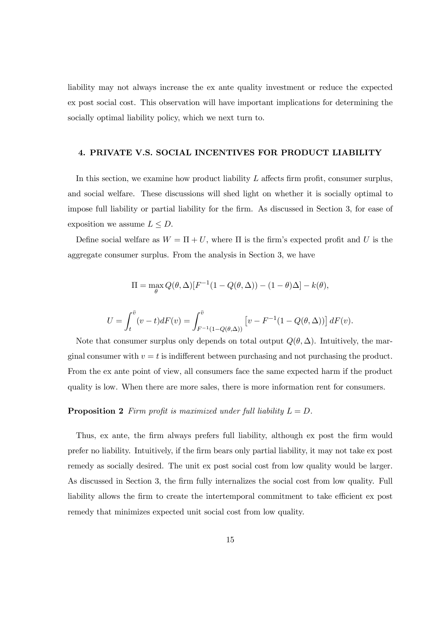liability may not always increase the ex ante quality investment or reduce the expected ex post social cost. This observation will have important implications for determining the socially optimal liability policy, which we next turn to.

# 4. PRIVATE V.S. SOCIAL INCENTIVES FOR PRODUCT LIABILITY

In this section, we examine how product liability  $L$  affects firm profit, consumer surplus, and social welfare. These discussions will shed light on whether it is socially optimal to impose full liability or partial liability for the firm. As discussed in Section 3, for ease of exposition we assume  $L \leq D$ .

Define social welfare as  $W = \Pi + U$ , where  $\Pi$  is the firm's expected profit and U is the aggregate consumer surplus. From the analysis in Section 3, we have

$$
\Pi = \max_{\theta} Q(\theta, \Delta) [F^{-1}(1 - Q(\theta, \Delta)) - (1 - \theta)\Delta] - k(\theta),
$$

$$
U = \int_{t}^{\bar{v}} (v - t) dF(v) = \int_{F^{-1}(1 - Q(\theta, \Delta))}^{\bar{v}} \left[v - F^{-1}(1 - Q(\theta, \Delta))\right] dF(v)
$$

Note that consumer surplus only depends on total output  $Q(\theta, \Delta)$ . Intuitively, the marginal consumer with  $v = t$  is indifferent between purchasing and not purchasing the product. From the ex ante point of view, all consumers face the same expected harm if the product quality is low. When there are more sales, there is more information rent for consumers.

#### **Proposition 2** Firm profit is maximized under full liability  $L = D$ .

Thus, ex ante, the firm always prefers full liability, although ex post the firm would prefer no liability. Intuitively, if the firm bears only partial liability, it may not take ex post remedy as socially desired. The unit ex post social cost from low quality would be larger. As discussed in Section 3, the firm fully internalizes the social cost from low quality. Full liability allows the firm to create the intertemporal commitment to take efficient ex post remedy that minimizes expected unit social cost from low quality.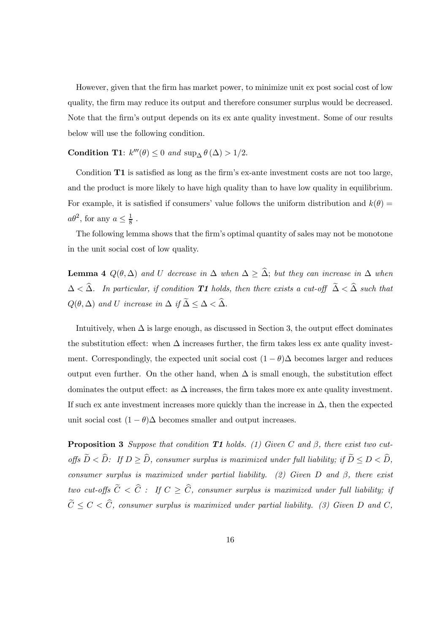However, given that the firm has market power, to minimize unit ex post social cost of low quality, the firm may reduce its output and therefore consumer surplus would be decreased. Note that the firm's output depends on its ex ante quality investment. Some of our results below will use the following condition.

# **Condition T1:**  $k'''(\theta) \leq 0$  and  $\sup_{\Lambda} \theta(\Delta) > 1/2$ .

Condition T1 is satisfied as long as the firm's ex-ante investment costs are not too large. and the product is more likely to have high quality than to have low quality in equilibrium. For example, it is satisfied if consumers' value follows the uniform distribution and  $k(\theta)$  $a\theta^2$ , for any  $a \leq \frac{1}{8}$ .

The following lemma shows that the firm's optimal quantity of sales may not be monotone in the unit social cost of low quality.

**Lemma 4**  $Q(\theta, \Delta)$  and U decrease in  $\Delta$  when  $\Delta \geq \hat{\Delta}$ ; but they can increase in  $\Delta$  when  $\Delta < \hat{\Delta}$ . In particular, if condition **T1** holds, then there exists a cut-off  $\tilde{\Delta} < \hat{\Delta}$  such that  $Q(\theta, \Delta)$  and U increase in  $\Delta$  if  $\widetilde{\Delta} \leq \Delta < \widehat{\Delta}$ .

Intuitively, when  $\Delta$  is large enough, as discussed in Section 3, the output effect dominates the substitution effect: when  $\Delta$  increases further, the firm takes less ex ante quality investment. Correspondingly, the expected unit social cost  $(1 - \theta)\Delta$  becomes larger and reduces output even further. On the other hand, when  $\Delta$  is small enough, the substitution effect dominates the output effect: as  $\Delta$  increases, the firm takes more ex ante quality investment. If such ex ante investment increases more quickly than the increase in  $\Delta$ , then the expected unit social cost  $(1 - \theta)\Delta$  becomes smaller and output increases.

**Proposition 3** Suppose that condition **T1** holds. (1) Given C and  $\beta$ , there exist two cutoffs  $\widetilde{D} < \widehat{D}$ : If  $D \geq \widehat{D}$ , consumer surplus is maximized under full liability; if  $\widetilde{D} \leq D < \widehat{D}$ , consumer surplus is maximized under partial liability. (2) Given D and  $\beta$ , there exist two cut-offs  $\widetilde{C} < \widehat{C}$ : If  $C \geq \widehat{C}$ , consumer surplus is maximized under full liability; if  $\widetilde{C} \leq C < \widehat{C}$ , consumer surplus is maximized under partial liability. (3) Given D and C,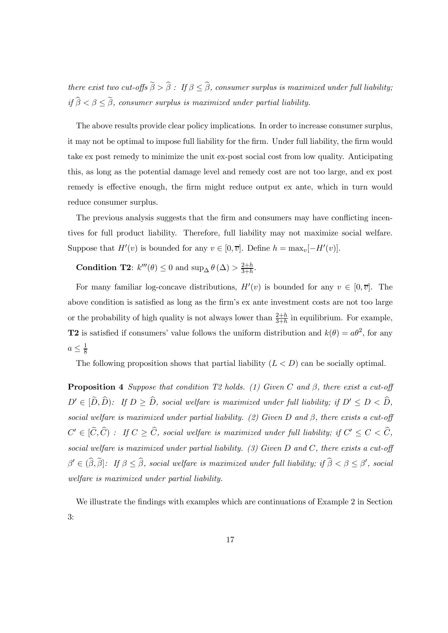there exist two cut-offs  $\widetilde{\beta} > \widehat{\beta}$ : If  $\beta \leq \widehat{\beta}$ , consumer surplus is maximized under full liability;  $\textit{if} \ \widehat{\beta} < \beta \leq \widetilde{\beta}, \ \textit{cosumer surplus is maximized under partial liability}.$ 

The above results provide clear policy implications. In order to increase consumer surplus, it may not be optimal to impose full liability for the firm. Under full liability, the firm would take ex post remedy to minimize the unit ex-post social cost from low quality. Anticipating this, as long as the potential damage level and remedy cost are not too large, and ex post remedy is effective enough, the firm might reduce output ex ante, which in turn would reduce consumer surplus.

The previous analysis suggests that the firm and consumers may have conflicting incentives for full product liability. Therefore, full liability may not maximize social welfare. Suppose that  $H'(v)$  is bounded for any  $v \in [0, \overline{v}]$ . Define  $h = \max_{v} [-H'(v)]$ .

**Condition T2:**  $k'''(\theta) \le 0$  and  $\sup_{\Delta} \theta(\Delta) > \frac{2+h}{3+h}$ .

For many familiar log-concave distributions,  $H'(v)$  is bounded for any  $v \in [0, \overline{v}]$ . The above condition is satisfied as long as the firm's ex ante investment costs are not too large or the probability of high quality is not always lower than  $\frac{2+h}{3+h}$  in equilibrium. For example, **T2** is satisfied if consumers' value follows the uniform distribution and  $k(\theta) = a\theta^2$ , for any  $a\leq \frac{1}{8}$ 

The following proposition shows that partial liability  $(L < D)$  can be socially optimal.

**Proposition 4** Suppose that condition T2 holds. (1) Given C and  $\beta$ , there exist a cut-off  $D' \in [\tilde{D}, \hat{D})$ : If  $D \geq \hat{D}$ , social welfare is maximized under full liability; if  $D' \leq D < \hat{D}$ , social welfare is maximized under partial liability. (2) Given D and  $\beta$ , there exists a cut-off  $C' \in [\widetilde{C}, \widehat{C}]$ : If  $C \geq \widehat{C}$ , social welfare is maximized under full liability; if  $C' \leq C < \widehat{C}$ , social welfare is maximized under partial liability. (3) Given  $D$  and  $C$ , there exists a cut-off  $\beta' \in (\widehat{\beta}, \widetilde{\beta}]$ : If  $\beta \leq \widehat{\beta}$ , social welfare is maximized under full liability; if  $\widehat{\beta} < \beta \leq \beta'$ , social welfare is maximized under partial liability.

We illustrate the findings with examples which are continuations of Example 2 in Section  $3:$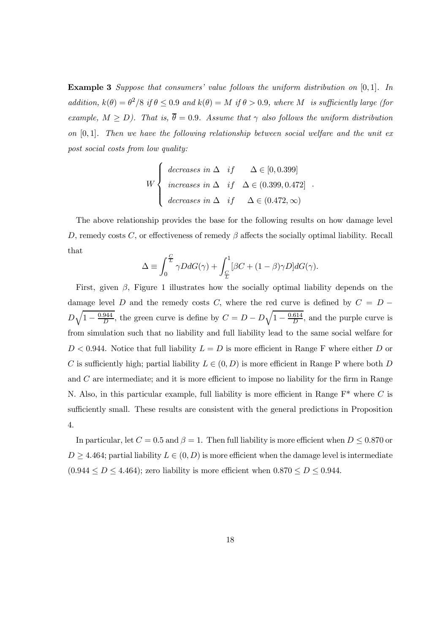**Example 3** Suppose that consumers' value follows the uniform distribution on  $[0,1]$ . In addition,  $k(\theta) = \frac{\theta^2}{8}$  if  $\theta \le 0.9$  and  $k(\theta) = M$  if  $\theta > 0.9$ , where M is sufficiently large (for example,  $M \ge D$ ). That is,  $\overline{\theta} = 0.9$ . Assume that  $\gamma$  also follows the uniform distribution on  $[0,1]$ . Then we have the following relationship between social welfare and the unit ex post social costs from low quality:

$$
W \begin{cases} \text{decreases in } \Delta & \text{if } \Delta \in [0, 0.399] \\ \text{increases in } \Delta & \text{if } \Delta \in (0.399, 0.472] \\ \text{decreases in } \Delta & \text{if } \Delta \in (0.472, \infty) \end{cases}
$$

The above relationship provides the base for the following results on how damage level D, remedy costs C, or effectiveness of remedy  $\beta$  affects the socially optimal liability. Recall that

$$
\Delta \equiv \int_0^{\frac{C}{L}} \gamma D dG(\gamma) + \int_{\frac{C}{L}}^1 [\beta C + (1 - \beta) \gamma D] dG(\gamma).
$$

First, given  $\beta$ , Figure 1 illustrates how the socially optimal liability depends on the damage level D and the remedy costs C, where the red curve is defined by  $C = D D\sqrt{1-\frac{0.944}{D}}$ , the green curve is define by  $C = D - D\sqrt{1-\frac{0.614}{D}}$ , and the purple curve is from simulation such that no liability and full liability lead to the same social welfare for  $D < 0.944$ . Notice that full liability  $L = D$  is more efficient in Range F where either D or C is sufficiently high; partial liability  $L \in (0, D)$  is more efficient in Range P where both D and  $C$  are intermediate; and it is more efficient to impose no liability for the firm in Range N. Also, in this particular example, full liability is more efficient in Range  $F^*$  where C is sufficiently small. These results are consistent with the general predictions in Proposition 4.

In particular, let  $C = 0.5$  and  $\beta = 1$ . Then full liability is more efficient when  $D \leq 0.870$  or  $D \geq 4.464$ ; partial liability  $L \in (0, D)$  is more efficient when the damage level is intermediate  $(0.944 \le D \le 4.464)$ ; zero liability is more efficient when  $0.870 \le D \le 0.944$ .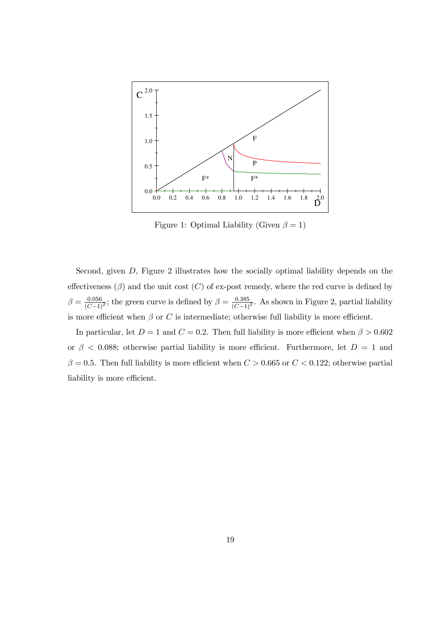

Figure 1: Optimal Liability (Given  $\beta = 1$ )

Second, given  $D$ , Figure 2 illustrates how the socially optimal liability depends on the effectiveness ( $\beta$ ) and the unit cost (C) of ex-post remedy, where the red curve is defined by  $\beta = \frac{0.056}{(C-1)^2}$ ; the green curve is defined by  $\beta = \frac{0.385}{(C-1)^2}$ . As shown in Figure 2, partial liability is more efficient when  $\beta$  or C is intermediate; otherwise full liability is more efficient.

In particular, let  $D = 1$  and  $C = 0.2$ . Then full liability is more efficient when  $\beta > 0.602$ or  $\beta$  < 0.088; otherwise partial liability is more efficient. Furthermore, let  $D = 1$  and  $\beta = 0.5$ . Then full liability is more efficient when  $C > 0.665$  or  $C < 0.122$ ; otherwise partial liability is more efficient.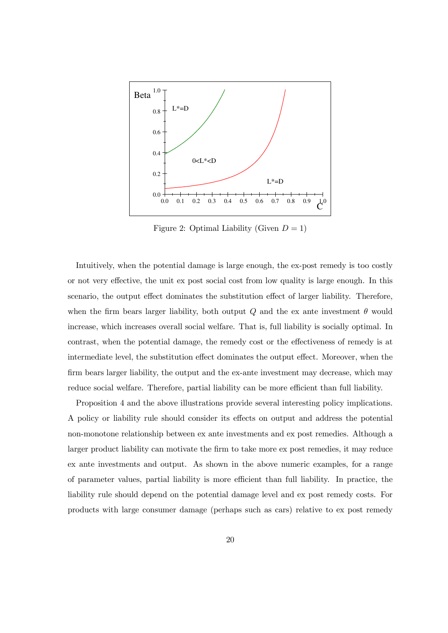

Figure 2: Optimal Liability (Given  $D=1$ )

Intuitively, when the potential damage is large enough, the ex-post remedy is too costly or not very effective, the unit ex post social cost from low quality is large enough. In this scenario, the output effect dominates the substitution effect of larger liability. Therefore, when the firm bears larger liability, both output Q and the ex ante investment  $\theta$  would increase, which increases overall social welfare. That is, full liability is socially optimal. In contrast, when the potential damage, the remedy cost or the effectiveness of remedy is at intermediate level, the substitution effect dominates the output effect. Moreover, when the firm bears larger liability, the output and the ex-ante investment may decrease, which may reduce social welfare. Therefore, partial liability can be more efficient than full liability.

Proposition 4 and the above illustrations provide several interesting policy implications. A policy or liability rule should consider its effects on output and address the potential non-monotone relationship between ex ante investments and ex post remedies. Although a larger product liability can motivate the firm to take more ex post remedies, it may reduce ex ante investments and output. As shown in the above numeric examples, for a range of parameter values, partial liability is more efficient than full liability. In practice, the liability rule should depend on the potential damage level and ex post remedy costs. For products with large consumer damage (perhaps such as cars) relative to ex post remedy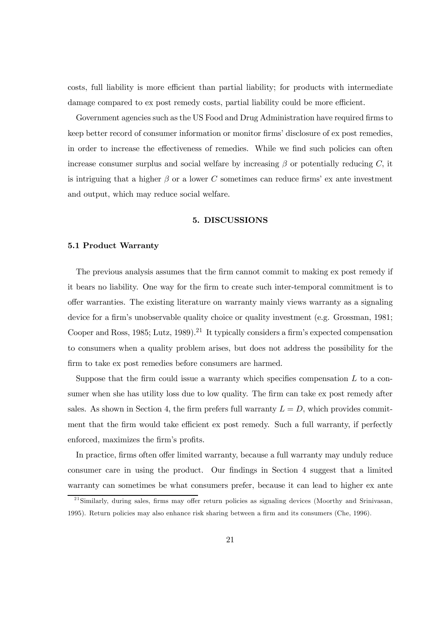costs, full liability is more efficient than partial liability; for products with intermediate damage compared to ex post remedy costs, partial liability could be more efficient.

Government agencies such as the US Food and Drug Administration have required firms to keep better record of consumer information or monitor firms' disclosure of ex post remedies, in order to increase the effectiveness of remedies. While we find such policies can often increase consumer surplus and social welfare by increasing  $\beta$  or potentially reducing C, it is intriguing that a higher  $\beta$  or a lower C sometimes can reduce firms' ex ante investment and output, which may reduce social welfare.

#### 5. DISCUSSIONS

#### 5.1 Product Warranty

The previous analysis assumes that the firm cannot commit to making ex post remedy if it bears no liability. One way for the firm to create such inter-temporal commitment is to offer warranties. The existing literature on warranty mainly views warranty as a signaling device for a firm's unobservable quality choice or quality investment (e.g. Grossman, 1981; Cooper and Ross, 1985; Lutz, 1989).<sup>21</sup> It typically considers a firm's expected compensation to consumers when a quality problem arises, but does not address the possibility for the firm to take ex post remedies before consumers are harmed.

Suppose that the firm could issue a warranty which specifies compensation  $L$  to a consumer when she has utility loss due to low quality. The firm can take ex post remedy after sales. As shown in Section 4, the firm prefers full warranty  $L = D$ , which provides commitment that the firm would take efficient ex post remedy. Such a full warranty, if perfectly enforced, maximizes the firm's profits.

In practice, firms often offer limited warranty, because a full warranty may unduly reduce consumer care in using the product. Our findings in Section 4 suggest that a limited warranty can sometimes be what consumers prefer, because it can lead to higher ex ante

 $21$ Similarly, during sales, firms may offer return policies as signaling devices (Moorthy and Srinivasan, 1995). Return policies may also enhance risk sharing between a firm and its consumers (Che, 1996).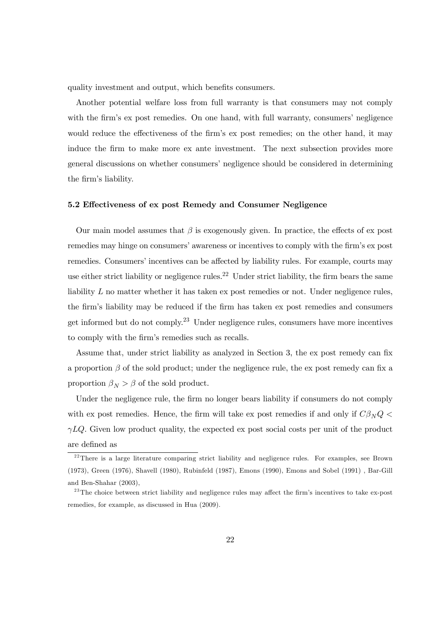quality investment and output, which benefits consumers.

Another potential welfare loss from full warranty is that consumers may not comply with the firm's ex post remedies. On one hand, with full warranty, consumers' negligence would reduce the effectiveness of the firm's ex post remedies; on the other hand, it may induce the firm to make more ex ante investment. The next subsection provides more general discussions on whether consumers' negligence should be considered in determining the firm's liability.

#### 5.2 Effectiveness of ex post Remedy and Consumer Negligence

Our main model assumes that  $\beta$  is exogenously given. In practice, the effects of ex post remedies may hinge on consumers' awareness or incentives to comply with the firm's expost remedies. Consumers' incentives can be affected by liability rules. For example, courts may use either strict liability or negligence rules.<sup>22</sup> Under strict liability, the firm bears the same liability  $L$  no matter whether it has taken  $ex$  post remedies or not. Under negligence rules, the firm's liability may be reduced if the firm has taken ex post remedies and consumers get informed but do not comply.<sup>23</sup> Under negligence rules, consumers have more incentives to comply with the firm's remedies such as recalls.

Assume that, under strict liability as analyzed in Section 3, the ex post remedy can fix a proportion  $\beta$  of the sold product; under the negligence rule, the ex post remedy can fix a proportion  $\beta_N > \beta$  of the sold product.

Under the negligence rule, the firm no longer bears liability if consumers do not comply with ex post remedies. Hence, the firm will take ex post remedies if and only if  $C\beta_N Q$  $\gamma LQ$ . Given low product quality, the expected ex post social costs per unit of the product are defined as

 $^{22}$ There is a large literature comparing strict liability and negligence rules. For examples, see Brown (1973), Green (1976), Shavell (1980), Rubinfeld (1987), Emons (1990), Emons and Sobel (1991), Bar-Gill and Ben-Shahar (2003),

 $^{23}$ The choice between strict liability and negligence rules may affect the firm's incentives to take ex-post remedies, for example, as discussed in Hua (2009).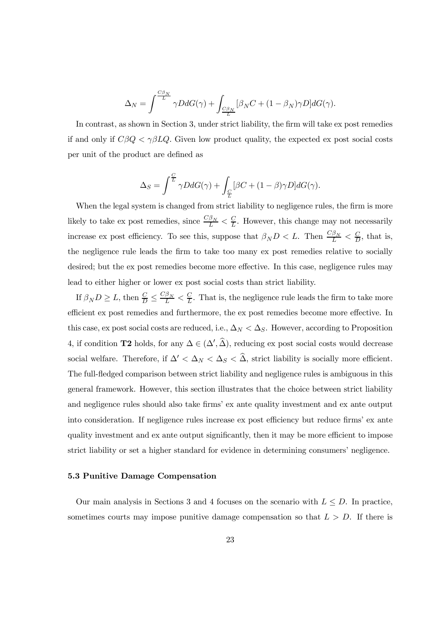$$
\Delta_N = \int^{\frac{C\beta_N}{L}} \gamma DdG(\gamma) + \int_{\frac{C\beta_N}{L}} [\beta_N C + (1-\beta_N)\gamma D] dG(\gamma)
$$

In contrast, as shown in Section 3, under strict liability, the firm will take ex post remedies if and only if  $C\beta Q < \gamma \beta LQ$ . Given low product quality, the expected ex post social costs per unit of the product are defined as

$$
\Delta_S = \int^{\frac{C}{L}} \gamma D dG(\gamma) + \int_{\frac{C}{L}} [\beta C + (1 - \beta)\gamma D] dG(\gamma).
$$

When the legal system is changed from strict liability to negligence rules, the firm is more likely to take ex post remedies, since  $\frac{C\beta_N}{L} < \frac{C}{L}$ . However, this change may not necessarily increase ex post efficiency. To see this, suppose that  $\beta_N D < L$ . Then  $\frac{C\beta_N}{L} < \frac{C}{D}$ , that is, the negligence rule leads the firm to take too many ex post remedies relative to socially desired; but the ex post remedies become more effective. In this case, negligence rules may lead to either higher or lower ex post social costs than strict liability.

If  $\beta_N D \geq L$ , then  $\frac{C}{D} \leq \frac{C\beta_N}{L} < \frac{C}{L}$ . That is, the negligence rule leads the firm to take more efficient ex post remedies and furthermore, the ex post remedies become more effective. In this case, ex post social costs are reduced, i.e.,  $\Delta_N < \Delta_S$ . However, according to Proposition 4, if condition **T2** holds, for any  $\Delta \in (\Delta', \widehat{\Delta})$ , reducing ex post social costs would decrease social welfare. Therefore, if  $\Delta' < \Delta_N < \Delta_S < \hat{\Delta}$ , strict liability is socially more efficient. The full-fledged comparison between strict liability and negligence rules is ambiguous in this general framework. However, this section illustrates that the choice between strict liability and negligence rules should also take firms' ex ante quality investment and ex ante output into consideration. If negligence rules increase ex post efficiency but reduce firms' ex ante quality investment and ex ante output significantly, then it may be more efficient to impose strict liability or set a higher standard for evidence in determining consumers' negligence.

#### 5.3 Punitive Damage Compensation

Our main analysis in Sections 3 and 4 focuses on the scenario with  $L \leq D$ . In practice, sometimes courts may impose punitive damage compensation so that  $L > D$ . If there is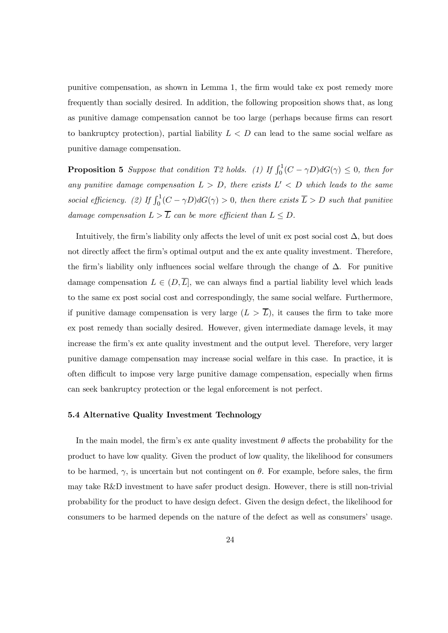punitive compensation, as shown in Lemma 1, the firm would take ex post remedy more frequently than socially desired. In addition, the following proposition shows that, as long as punitive damage compensation cannot be too large (perhaps because firms can resort to bankruptcy protection), partial liability  $L < D$  can lead to the same social welfare as punitive damage compensation.

**Proposition 5** Suppose that condition T2 holds. (1) If  $\int_0^1 (C - \gamma D) dG(\gamma) \leq 0$ , then for any punitive damage compensation  $L > D$ , there exists  $L' < D$  which leads to the same social efficiency. (2) If  $\int_0^1 (C - \gamma D) dG(\gamma) > 0$ , then there exists  $\overline{L} > D$  such that punitive damage compensation  $L > \overline{L}$  can be more efficient than  $L \leq D$ .

Intuitively, the firm's liability only affects the level of unit ex post social cost  $\Delta$ , but does not directly affect the firm's optimal output and the ex ante quality investment. Therefore, the firm's liability only influences social welfare through the change of  $\Delta$ . For punitive damage compensation  $L \in (D,\overline{L}]$ , we can always find a partial liability level which leads to the same ex post social cost and correspondingly, the same social welfare. Furthermore, if punitive damage compensation is very large  $(L > \overline{L})$ , it causes the firm to take more ex post remedy than socially desired. However, given intermediate damage levels, it may increase the firm's ex ante quality investment and the output level. Therefore, very larger punitive damage compensation may increase social welfare in this case. In practice, it is often difficult to impose very large punitive damage compensation, especially when firms can seek bankruptcy protection or the legal enforcement is not perfect.

#### 5.4 Alternative Quality Investment Technology

In the main model, the firm's ex ante quality investment  $\theta$  affects the probability for the product to have low quality. Given the product of low quality, the likelihood for consumers to be harmed,  $\gamma$ , is uncertain but not contingent on  $\theta$ . For example, before sales, the firm may take R&D investment to have safer product design. However, there is still non-trivial probability for the product to have design defect. Given the design defect, the likelihood for consumers to be harmed depends on the nature of the defect as well as consumers' usage.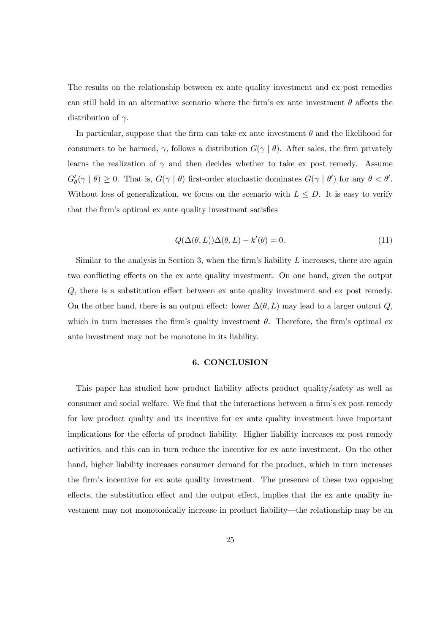The results on the relationship between ex ante quality investment and ex post remedies can still hold in an alternative scenario where the firm's ex ante investment  $\theta$  affects the distribution of  $\gamma$ .

In particular, suppose that the firm can take ex ante investment  $\theta$  and the likelihood for consumers to be harmed,  $\gamma$ , follows a distribution  $G(\gamma | \theta)$ . After sales, the firm privately learns the realization of  $\gamma$  and then decides whether to take ex post remedy. Assume  $G'_{\theta}(\gamma | \theta) \geq 0$ . That is,  $G(\gamma | \theta)$  first-order stochastic dominates  $G(\gamma | \theta')$  for any  $\theta < \theta'$ . Without loss of generalization, we focus on the scenario with  $L \leq D$ . It is easy to verify that the firm's optimal ex ante quality investment satisfies

$$
Q(\Delta(\theta, L))\Delta(\theta, L) - k'(\theta) = 0.
$$
\n(11)

Similar to the analysis in Section 3, when the firm's liability  $L$  increases, there are again two conflicting effects on the ex ante quality investment. On one hand, given the output  $Q$ , there is a substitution effect between ex ante quality investment and ex post remedy. On the other hand, there is an output effect: lower  $\Delta(\theta, L)$  may lead to a larger output Q, which in turn increases the firm's quality investment  $\theta$ . Therefore, the firm's optimal exante investment may not be monotone in its liability.

#### 6. CONCLUSION

This paper has studied how product liability affects product quality/safety as well as consumer and social welfare. We find that the interactions between a firm's ex post remedy for low product quality and its incentive for ex ante quality investment have important implications for the effects of product liability. Higher liability increases ex post remedy activities, and this can in turn reduce the incentive for ex ante investment. On the other hand, higher liability increases consumer demand for the product, which in turn increases the firm's incentive for ex ante quality investment. The presence of these two opposing effects, the substitution effect and the output effect, implies that the ex ante quality investment may not monotonically increase in product liability—the relationship may be an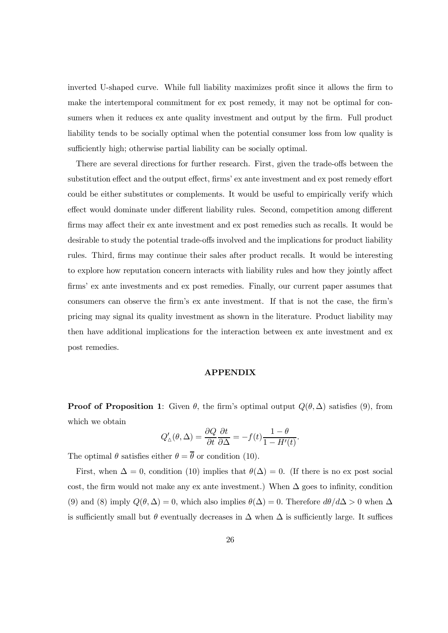inverted U-shaped curve. While full liability maximizes profit since it allows the firm to make the intertemporal commitment for ex post remedy, it may not be optimal for consumers when it reduces ex ante quality investment and output by the firm. Full product liability tends to be socially optimal when the potential consumer loss from low quality is sufficiently high; otherwise partial liability can be socially optimal.

There are several directions for further research. First, given the trade-offs between the substitution effect and the output effect, firms' ex ante investment and ex post remedy effort could be either substitutes or complements. It would be useful to empirically verify which effect would dominate under different liability rules. Second, competition among different firms may affect their ex ante investment and ex post remedies such as recalls. It would be desirable to study the potential trade-offs involved and the implications for product liability rules. Third, firms may continue their sales after product recalls. It would be interesting to explore how reputation concern interacts with liability rules and how they jointly affect firms' ex ante investments and ex post remedies. Finally, our current paper assumes that consumers can observe the firm's ex ante investment. If that is not the case, the firm's pricing may signal its quality investment as shown in the literature. Product liability may then have additional implications for the interaction between ex ante investment and ex post remedies.

#### **APPENDIX**

**Proof of Proposition 1**: Given  $\theta$ , the firm's optimal output  $Q(\theta, \Delta)$  satisfies (9), from which we obtain

$$
Q'_{\Delta}(\theta,\Delta) = \frac{\partial Q}{\partial t} \frac{\partial t}{\partial \Delta} = -f(t) \frac{1-\theta}{1 - H'(t)}.
$$

The optimal  $\theta$  satisfies either  $\theta = \overline{\theta}$  or condition (10).

First, when  $\Delta = 0$ , condition (10) implies that  $\theta(\Delta) = 0$ . (If there is no ex post social cost, the firm would not make any ex ante investment.) When  $\Delta$  goes to infinity, condition (9) and (8) imply  $Q(\theta, \Delta) = 0$ , which also implies  $\theta(\Delta) = 0$ . Therefore  $d\theta/d\Delta > 0$  when  $\Delta$ is sufficiently small but  $\theta$  eventually decreases in  $\Delta$  when  $\Delta$  is sufficiently large. It suffices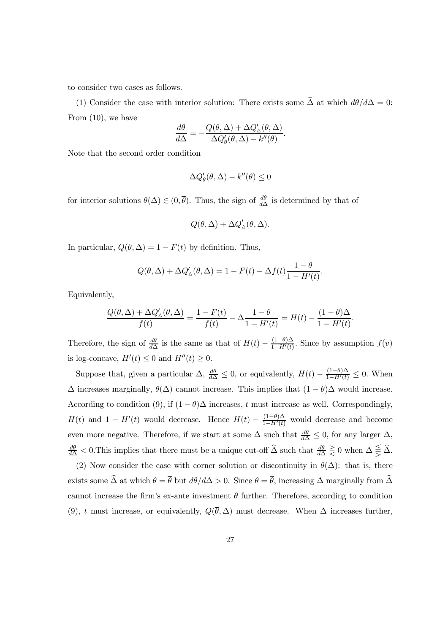to consider two cases as follows.

(1) Consider the case with interior solution: There exists some  $\widehat{\Delta}$  at which  $d\theta/d\Delta = 0$ : From  $(10)$ , we have

$$
\frac{d\theta}{d\Delta} = -\frac{Q(\theta, \Delta) + \Delta Q'_{\Delta}(\theta, \Delta)}{\Delta Q'_{\theta}(\theta, \Delta) - k''(\theta)}.
$$

Note that the second order condition

$$
\Delta Q_{\theta}'(\theta,\Delta) - k''(\theta) \le 0
$$

for interior solutions  $\theta(\Delta) \in (0, \overline{\theta})$ . Thus, the sign of  $\frac{d\theta}{d\Delta}$  is determined by that of

$$
Q(\theta, \Delta) + \Delta Q'_{\Delta}(\theta, \Delta).
$$

In particular,  $Q(\theta, \Delta) = 1 - F(t)$  by definition. Thus,

$$
Q(\theta, \Delta) + \Delta Q'_{\Delta}(\theta, \Delta) = 1 - F(t) - \Delta f(t) \frac{1 - \theta}{1 - H'(t)}.
$$

Equivalently,

$$
\frac{Q(\theta,\Delta) + \Delta Q'_{\Delta}(\theta,\Delta)}{f(t)} = \frac{1 - F(t)}{f(t)} - \Delta \frac{1 - \theta}{1 - H'(t)} = H(t) - \frac{(1 - \theta)\Delta}{1 - H'(t)}.
$$

Therefore, the sign of  $\frac{d\theta}{d\Delta}$  is the same as that of  $H(t) - \frac{(1-\theta)\Delta}{1-H'(t)}$ . Since by assumption  $f(v)$ is log-concave,  $H'(t) \leq 0$  and  $H''(t) \geq 0$ .

Suppose that, given a particular  $\Delta$ ,  $\frac{d\theta}{d\Delta} \leq 0$ , or equivalently,  $H(t) - \frac{(1-\theta)\Delta}{1-H'(t)} \leq 0$ . When  $\Delta$  increases marginally,  $\theta(\Delta)$  cannot increase. This implies that  $(1 - \theta)\Delta$  would increase. According to condition (9), if  $(1 - \theta)\Delta$  increases, t must increase as well. Correspondingly,  $H(t)$  and  $1 - H'(t)$  would decrease. Hence  $H(t) - \frac{(1-\theta)\Delta}{1-H'(t)}$  would decrease and become even more negative. Therefore, if we start at some  $\Delta$  such that  $\frac{d\theta}{d\Delta} \leq 0$ , for any larger  $\Delta$ ,  $\frac{d\theta}{d\Delta}$  < 0. This implies that there must be a unique cut-off  $\widehat{\Delta}$  such that  $\frac{d\theta}{d\Delta} \geq 0$  when  $\Delta \leq \widehat{\Delta}$ .

(2) Now consider the case with corner solution or discontinuity in  $\theta(\Delta)$ : that is, there exists some  $\widehat{\Delta}$  at which  $\theta = \overline{\theta}$  but  $d\theta/d\Delta > 0$ . Since  $\theta = \overline{\theta}$ , increasing  $\Delta$  marginally from  $\widehat{\Delta}$ cannot increase the firm's ex-ante investment  $\theta$  further. Therefore, according to condition (9), t must increase, or equivalently,  $Q(\overline{\theta}, \Delta)$  must decrease. When  $\Delta$  increases further,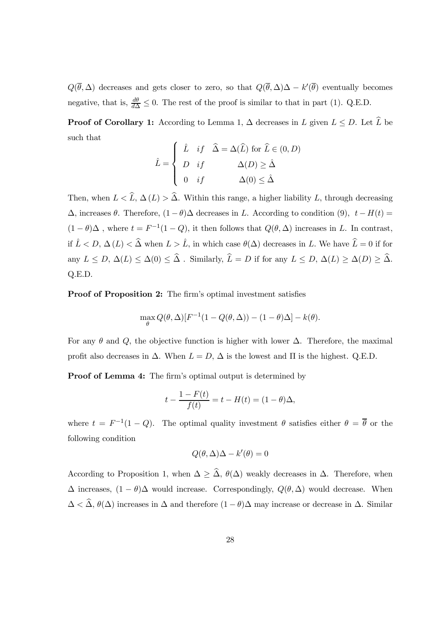$Q(\overline{\theta}, \Delta)$  decreases and gets closer to zero, so that  $Q(\overline{\theta}, \Delta)\Delta - k'(\overline{\theta})$  eventually becomes negative, that is,  $\frac{d\theta}{d\Delta} \leq 0$ . The rest of the proof is similar to that in part (1). Q.E.D.

**Proof of Corollary 1:** According to Lemma 1,  $\Delta$  decreases in L given  $L \leq D$ . Let  $\widehat{L}$  be such that

$$
\hat{L} = \begin{cases}\n\hat{L} & if \quad \hat{\Delta} = \Delta(\hat{L}) \text{ for } \hat{L} \in (0, D) \\
D & if \quad \Delta(D) \ge \hat{\Delta} \\
0 & if \quad \Delta(0) \le \hat{\Delta}\n\end{cases}
$$

Then, when  $L < \hat{L}$ ,  $\Delta(L) > \hat{\Delta}$ . Within this range, a higher liability L, through decreasing  $\Delta$ , increases  $\theta$ . Therefore,  $(1 - \theta)\Delta$  decreases in L. According to condition (9),  $t - H(t) =$  $(1 - \theta)\Delta$ , where  $t = F^{-1}(1 - Q)$ , it then follows that  $Q(\theta, \Delta)$  increases in L. In contrast, if  $\hat{L} < D$ ,  $\Delta (L) < \hat{\Delta}$  when  $L > \hat{L}$ , in which case  $\theta(\Delta)$  decreases in L. We have  $\hat{L} = 0$  if for any  $L \leq D, \Delta(L) \leq \Delta(0) \leq \widehat{\Delta}$ . Similarly,  $\widehat{L} = D$  if for any  $L \leq D, \Delta(L) \geq \Delta(D) \geq \widehat{\Delta}$ .  $Q.E.D.$ 

**Proof of Proposition 2:** The firm's optimal investment satisfies

$$
\max_{\theta} Q(\theta, \Delta) [F^{-1}(1 - Q(\theta, \Delta)) - (1 - \theta)\Delta] - k(\theta).
$$

For any  $\theta$  and Q, the objective function is higher with lower  $\Delta$ . Therefore, the maximal profit also decreases in  $\Delta$ . When  $L = D$ ,  $\Delta$  is the lowest and  $\Pi$  is the highest. Q.E.D.

**Proof of Lemma 4:** The firm's optimal output is determined by

$$
t - \frac{1 - F(t)}{f(t)} = t - H(t) = (1 - \theta)\Delta,
$$

where  $t = F^{-1}(1 - Q)$ . The optimal quality investment  $\theta$  satisfies either  $\theta = \overline{\theta}$  or the following condition

$$
Q(\theta, \Delta)\Delta - k'(\theta) = 0
$$

According to Proposition 1, when  $\Delta \geq \widehat{\Delta}$ ,  $\theta(\Delta)$  weakly decreases in  $\Delta$ . Therefore, when  $\Delta$  increases,  $(1 - \theta)\Delta$  would increase. Correspondingly,  $Q(\theta, \Delta)$  would decrease. When  $\Delta < \hat{\Delta}, \theta(\Delta)$  increases in  $\Delta$  and therefore  $(1 - \theta)\Delta$  may increase or decrease in  $\Delta$ . Similar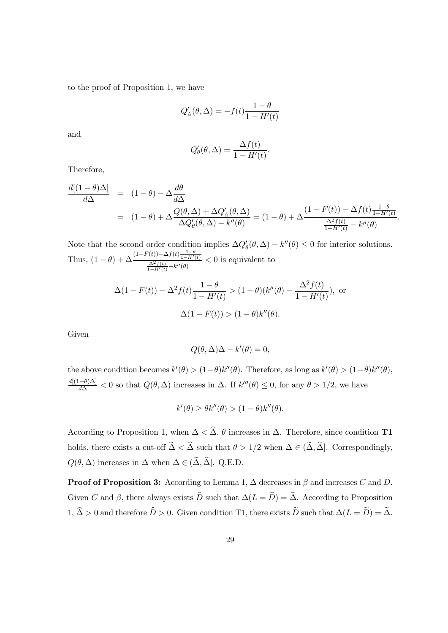to the proof of Proposition 1, we have

$$
Q'_{\Delta}(\theta, \Delta) = -f(t)\frac{1-\theta}{1 - H'(t)}
$$

and

$$
Q'_{\theta}(\theta, \Delta) = \frac{\Delta f(t)}{1 - H'(t)}.
$$

Therefore,

$$
\frac{d[(1-\theta)\Delta]}{d\Delta} = (1-\theta) - \Delta \frac{d\theta}{d\Delta}
$$
\n
$$
= (1-\theta) + \Delta \frac{Q(\theta,\Delta) + \Delta Q'_{\Delta}(\theta,\Delta)}{\Delta Q'_{\theta}(\theta,\Delta) - k''(\theta)} = (1-\theta) + \Delta \frac{(1-F(t)) - \Delta f(t)\frac{1-\theta}{1-H'(t)}}{\frac{\Delta^2 f(t)}{1-H'(t)} - k''(\theta)}.
$$

Note that the second order condition implies  $\Delta Q'_{\theta}(\theta, \Delta) - k''(\theta) \le 0$  for interior solutions.<br>Thus,  $(1 - \theta) + \Delta \frac{(1 - F(t)) - \Delta f(t) \frac{1 - \theta}{1 - H'(t)}}{\frac{\Delta^2 f(t)}{1 - H'(t)} - k''(\theta)} < 0$  is equivalent to

$$
\Delta(1 - F(t)) - \Delta^2 f(t) \frac{1 - \theta}{1 - H'(t)} > (1 - \theta)(k''(\theta) - \frac{\Delta^2 f(t)}{1 - H'(t)}),
$$
 or  

$$
\Delta(1 - F(t)) > (1 - \theta)k''(\theta).
$$

Given

$$
Q(\theta, \Delta)\Delta - k'(\theta) = 0,
$$

the above condition becomes  $k'(\theta) > (1-\theta)k''(\theta)$ . Therefore, as long as  $k'(\theta) > (1-\theta)k''(\theta)$ ,  $\frac{d[(1-\theta)\Delta]}{d\Delta}<0$  so that  $Q(\theta,\Delta)$  increases in  $\Delta$ . If  $k'''(\theta) \leq 0$ , for any  $\theta > 1/2$ , we have

$$
k'(\theta) \ge \theta k''(\theta) > (1 - \theta)k''(\theta).
$$

According to Proposition 1, when  $\Delta < \widehat{\Delta}$ ,  $\theta$  increases in  $\Delta$ . Therefore, since condition T1 holds, there exists a cut-off  $\tilde{\Delta} < \hat{\Delta}$  such that  $\theta > 1/2$  when  $\Delta \in (\tilde{\Delta}, \hat{\Delta})$ . Correspondingly,  $Q(\theta, \Delta)$  increases in  $\Delta$  when  $\Delta \in (\tilde{\Delta}, \tilde{\Delta})$ . Q.E.D.

**Proof of Proposition 3:** According to Lemma 1,  $\Delta$  decreases in  $\beta$  and increases C and D. Given C and  $\beta$ , there always exists  $\widehat{D}$  such that  $\Delta(L = \widehat{D}) = \widehat{\Delta}$ . According to Proposition  $1, \hat{\Delta} > 0$  and therefore  $\hat{D} > 0$ . Given condition T1, there exists  $\tilde{D}$  such that  $\Delta(L = \tilde{D}) = \tilde{\Delta}$ .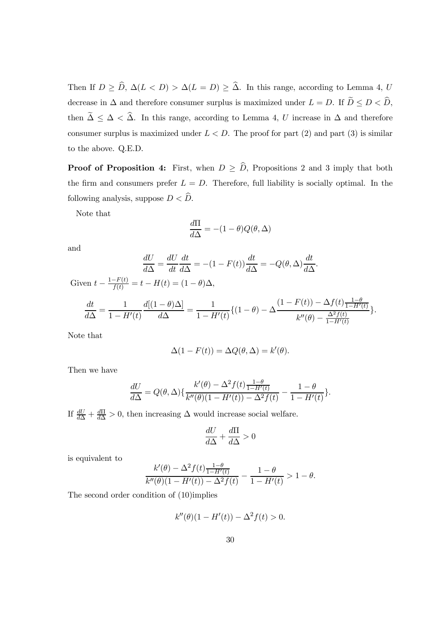Then If  $D \geq \widehat{D}$ ,  $\Delta(L < D) > \Delta(L = D) \geq \widehat{\Delta}$ . In this range, according to Lemma 4, U decrease in  $\Delta$  and therefore consumer surplus is maximized under  $L = D$ . If  $\widetilde{D} \le D < \widehat{D}$ , then  $\tilde{\Delta} \leq \Delta < \hat{\Delta}$ . In this range, according to Lemma 4, U increase in  $\Delta$  and therefore consumer surplus is maximized under  $L < D$ . The proof for part (2) and part (3) is similar to the above. Q.E.D.

**Proof of Proposition 4:** First, when  $D \geq \widehat{D}$ , Propositions 2 and 3 imply that both the firm and consumers prefer  $L = D$ . Therefore, full liability is socially optimal. In the following analysis, suppose  $D < \hat{D}$ .

Note that

$$
\frac{d\Pi}{d\Delta} = -(1-\theta)Q(\theta,\Delta)
$$

and

$$
\frac{dU}{d\Delta} = \frac{dU}{dt}\frac{dt}{d\Delta} = -(1 - F(t))\frac{dt}{d\Delta} = -Q(\theta, \Delta)\frac{dt}{d\Delta}
$$

Given  $t - \frac{1 - F(t)}{f(t)} = t - H(t) = (1 - \theta)\Delta$ ,

$$
\frac{dt}{d\Delta} = \frac{1}{1 - H'(t)} \frac{d[(1 - \theta)\Delta]}{d\Delta} = \frac{1}{1 - H'(t)} \{ (1 - \theta) - \Delta \frac{(1 - F(t)) - \Delta f(t) \frac{1 - \theta}{1 - H'(t)}}{k''(\theta) - \frac{\Delta^2 f(t)}{1 - H'(t)}} \}.
$$

Note that

$$
\Delta(1 - F(t)) = \Delta Q(\theta, \Delta) = k'(\theta).
$$

Then we have

$$
\frac{dU}{d\Delta} = Q(\theta, \Delta) \{ \frac{k'(\theta) - \Delta^2 f(t) \frac{1-\theta}{1 - H'(t)}}{k''(\theta)(1 - H'(t)) - \Delta^2 f(t)} - \frac{1-\theta}{1 - H'(t)} \}
$$

If  $\frac{dU}{d\Delta} + \frac{d\Pi}{d\Delta} > 0$ , then increasing  $\Delta$  would increase social welfare.

$$
\frac{dU}{d\Delta}+\frac{d\Pi}{d\Delta}>0
$$

is equivalent to

$$
\frac{k'(\theta) - \Delta^2 f(t) \frac{1-\theta}{1-H'(t)}}{k''(\theta)(1-H'(t)) - \Delta^2 f(t)} - \frac{1-\theta}{1-H'(t)} > 1-\theta.
$$

The second order condition of  $(10)$  implies

$$
k''(\theta)(1 - H'(t)) - \Delta^2 f(t) > 0
$$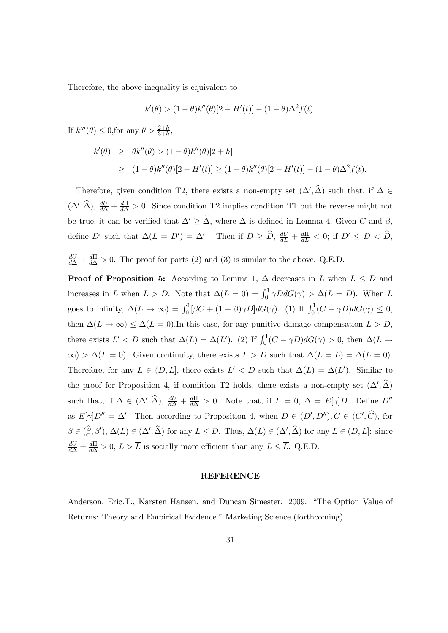Therefore, the above inequality is equivalent to

$$
k'(\theta) > (1 - \theta)k''(\theta)[2 - H'(t)] - (1 - \theta)\Delta^{2}f(t)
$$

If  $k'''(\theta) \leq 0$ , for any  $\theta > \frac{2+h}{3+h}$ ,

$$
k'(\theta) \geq \theta k''(\theta) > (1 - \theta)k''(\theta)[2 + h]
$$
  
 
$$
\geq (1 - \theta)k''(\theta)[2 - H'(t)] \geq (1 - \theta)k''(\theta)[2 - H'(t)] - (1 - \theta)\Delta^2 f(t).
$$

Therefore, given condition T2, there exists a non-empty set  $(\Delta', \widehat{\Delta})$  such that, if  $\Delta \in$  $(\Delta', \hat{\Delta}), \frac{dU}{d\Delta} + \frac{d\Pi}{d\Delta} > 0$ . Since condition T2 implies condition T1 but the reverse might not be true, it can be verified that  $\Delta' \geq \tilde{\Delta}$ , where  $\tilde{\Delta}$  is defined in Lemma 4. Given C and  $\beta$ , define D' such that  $\Delta(L = D') = \Delta'$ . Then if  $D \geq \widehat{D}$ ,  $\frac{dU}{dL} + \frac{d\Pi}{dL} < 0$ ; if  $D' \leq D < \widehat{D}$ ,

$$
\frac{dU}{d\Delta} + \frac{dH}{d\Delta} > 0
$$
. The proof for parts (2) and (3) is similar to the above. Q.E.D.

**Proof of Proposition 5:** According to Lemma 1,  $\Delta$  decreases in L when  $L \leq D$  and increases in L when  $L > D$ . Note that  $\Delta(L = 0) = \int_0^1 \gamma D dG(\gamma) > \Delta(L = D)$ . When L goes to infinity,  $\Delta(L \to \infty) = \int_0^1 [\beta C + (1 - \beta)\gamma D] dG(\gamma)$ . (1) If  $\int_0^1 (C - \gamma D) dG(\gamma) \leq 0$ , then  $\Delta(L \to \infty) \leq \Delta(L = 0)$ . In this case, for any punitive damage compensation  $L > D$ , there exists  $L' < D$  such that  $\Delta(L) = \Delta(L')$ . (2) If  $\int_0^1 (C - \gamma D) dG(\gamma) > 0$ , then  $\Delta(L \to$  $\infty$ ) >  $\Delta(L = 0)$ . Given continuity, there exists  $\overline{L}$  > D such that  $\Delta(L = \overline{L}) = \Delta(L = 0)$ . Therefore, for any  $L \in (D, \overline{L}]$ , there exists  $L' < D$  such that  $\Delta(L) = \Delta(L')$ . Similar to the proof for Proposition 4, if condition T2 holds, there exists a non-empty set  $(\Delta', \widehat{\Delta})$ such that, if  $\Delta \in (\Delta', \widehat{\Delta})$ ,  $\frac{dU}{d\Delta} + \frac{d\Pi}{d\Delta} > 0$ . Note that, if  $L = 0$ ,  $\Delta = E[\gamma]D$ . Define D'' as  $E[\gamma]D'' = \Delta'$ . Then according to Proposition 4, when  $D \in (D', D''), C \in (C', \widehat{C})$ , for  $\beta \in (\widehat{\beta}, \beta'), \Delta(L) \in (\Delta', \widehat{\Delta})$  for any  $L \leq D$ . Thus,  $\Delta(L) \in (\Delta', \widehat{\Delta})$  for any  $L \in (D, \overline{L}]$ : since  $\frac{dU}{d\Delta} + \frac{d\Pi}{d\Delta} > 0, L > \overline{L}$  is socially more efficient than any  $L \leq \overline{L}$ . Q.E.D.

## **REFERENCE**

Anderson, Eric.T., Karsten Hansen, and Duncan Simester. 2009. "The Option Value of Returns: Theory and Empirical Evidence." Marketing Science (forthcoming).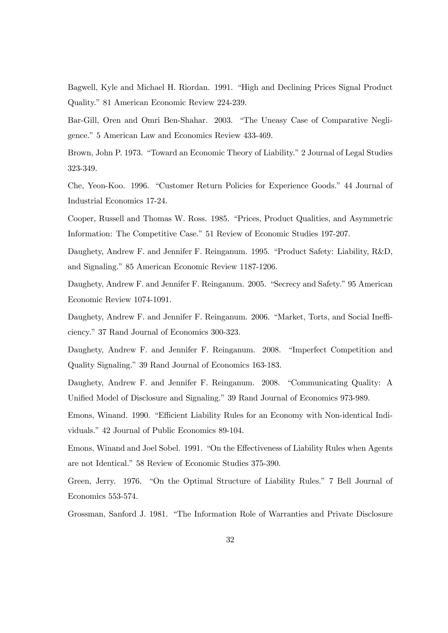Bagwell, Kyle and Michael H. Riordan. 1991. "High and Declining Prices Signal Product Quality." 81 American Economic Review 224-239.

Bar-Gill, Oren and Omri Ben-Shahar. 2003. "The Uneasy Case of Comparative Negligence." 5 American Law and Economics Review 433-469.

Brown, John P. 1973. "Toward an Economic Theory of Liability." 2 Journal of Legal Studies 323-349.

Che, Yeon-Koo. 1996. "Customer Return Policies for Experience Goods." 44 Journal of Industrial Economics 17-24.

Cooper, Russell and Thomas W. Ross. 1985. "Prices, Product Qualities, and Asymmetric Information: The Competitive Case." 51 Review of Economic Studies 197-207.

Daughety, Andrew F. and Jennifer F. Reinganum. 1995. "Product Safety: Liability, R&D, and Signaling." 85 American Economic Review 1187-1206.

Daughety, Andrew F. and Jennifer F. Reinganum. 2005. "Secrecy and Safety." 95 American Economic Review 1074-1091.

Daughety, Andrew F. and Jennifer F. Reinganum. 2006. "Market, Torts, and Social Inefficiency." 37 Rand Journal of Economics 300-323.

Daughety, Andrew F. and Jennifer F. Reinganum. 2008. "Imperfect Competition and Quality Signaling." 39 Rand Journal of Economics 163-183.

Daughety, Andrew F. and Jennifer F. Reinganum. 2008. "Communicating Quality: A Unified Model of Disclosure and Signaling." 39 Rand Journal of Economics 973-989.

Emons, Winand. 1990. "Efficient Liability Rules for an Economy with Non-identical Individuals." 42 Journal of Public Economics 89-104.

Emons, Winand and Joel Sobel. 1991. "On the Effectiveness of Liability Rules when Agents are not Identical." 58 Review of Economic Studies 375-390.

Green, Jerry. 1976. "On the Optimal Structure of Liability Rules." 7 Bell Journal of Economics 553-574.

Grossman, Sanford J. 1981. "The Information Role of Warranties and Private Disclosure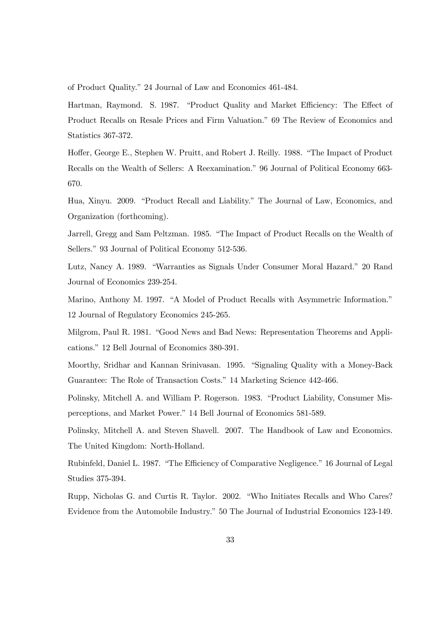of Product Quality." 24 Journal of Law and Economics 461-484.

Hartman, Raymond. S. 1987. "Product Quality and Market Efficiency: The Effect of Product Recalls on Resale Prices and Firm Valuation." 69 The Review of Economics and Statistics 367-372.

Hoffer, George E., Stephen W. Pruitt, and Robert J. Reilly. 1988. "The Impact of Product" Recalls on the Wealth of Sellers: A Reexamination." 96 Journal of Political Economy 663-670.

Hua, Xinyu. 2009. "Product Recall and Liability." The Journal of Law, Economics, and Organization (forthcoming).

Jarrell, Gregg and Sam Peltzman. 1985. "The Impact of Product Recalls on the Wealth of Sellers." 93 Journal of Political Economy 512-536.

Lutz, Nancy A. 1989. "Warranties as Signals Under Consumer Moral Hazard." 20 Rand Journal of Economics 239-254.

Marino, Anthony M. 1997. "A Model of Product Recalls with Asymmetric Information." 12 Journal of Regulatory Economics 245-265.

Milgrom, Paul R. 1981. "Good News and Bad News: Representation Theorems and Applications." 12 Bell Journal of Economics 380-391.

Moorthy, Sridhar and Kannan Srinivasan. 1995. "Signaling Quality with a Money-Back Guarantee: The Role of Transaction Costs." 14 Marketing Science 442-466.

Polinsky, Mitchell A. and William P. Rogerson. 1983. "Product Liability, Consumer Misperceptions, and Market Power." 14 Bell Journal of Economics 581-589.

Polinsky, Mitchell A. and Steven Shavell. 2007. The Handbook of Law and Economics. The United Kingdom: North-Holland.

Rubinfeld, Daniel L. 1987. "The Efficiency of Comparative Negligence." 16 Journal of Legal Studies 375-394.

Rupp, Nicholas G. and Curtis R. Taylor. 2002. "Who Initiates Recalls and Who Cares? Evidence from the Automobile Industry." 50 The Journal of Industrial Economics 123-149.